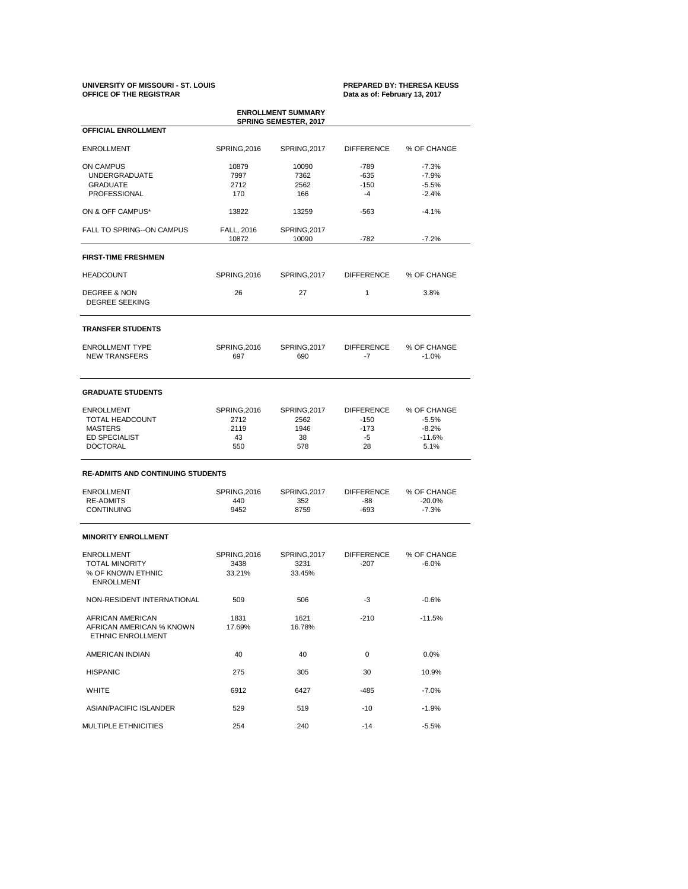# **UNIVERSITY OF MISSOURI - ST. LOUIS PREPARED BY: THERESA KEUSS**

## Data as of: February 13, 2017

AFRICAN AMERICAN 1831 1621 -210 -210 AFRICAN AMERICAN % KNOWN 17.69% 16.78% ETHNIC ENROLLMENT

| <b>ENROLLMENT SUMMARY</b><br><b>SPRING SEMESTER, 2017</b> |                            |                       |                           |                        |  |  |  |
|-----------------------------------------------------------|----------------------------|-----------------------|---------------------------|------------------------|--|--|--|
| <b>OFFICIAL ENROLLMENT</b>                                |                            |                       |                           |                        |  |  |  |
| <b>ENROLLMENT</b>                                         | <b>SPRING, 2016</b>        | <b>SPRING, 2017</b>   | <b>DIFFERENCE</b>         | % OF CHANGE            |  |  |  |
| <b>ON CAMPUS</b>                                          | 10879                      | 10090                 | $-789$                    | $-7.3%$                |  |  |  |
| <b>UNDERGRADUATE</b>                                      | 7997                       | 7362                  | $-635$                    | $-7.9%$                |  |  |  |
| <b>GRADUATE</b>                                           | 2712                       | 2562                  | $-150$                    | $-5.5%$                |  |  |  |
| <b>PROFESSIONAL</b>                                       | 170                        | 166                   | -4                        | $-2.4%$                |  |  |  |
| ON & OFF CAMPUS*                                          | 13822                      | 13259                 | $-563$                    | $-4.1%$                |  |  |  |
| FALL TO SPRING--ON CAMPUS                                 | FALL, 2016<br>10872        | SPRING, 2017<br>10090 | $-782$                    | $-7.2%$                |  |  |  |
| <b>FIRST-TIME FRESHMEN</b>                                |                            |                       |                           |                        |  |  |  |
| <b>HEADCOUNT</b>                                          | <b>SPRING, 2016</b>        | SPRING, 2017          | <b>DIFFERENCE</b>         | % OF CHANGE            |  |  |  |
| <b>DEGREE &amp; NON</b><br><b>DEGREE SEEKING</b>          | 26                         | 27                    | 1                         | 3.8%                   |  |  |  |
| <b>TRANSFER STUDENTS</b>                                  |                            |                       |                           |                        |  |  |  |
| <b>ENROLLMENT TYPE</b><br><b>NEW TRANSFERS</b>            | <b>SPRING, 2016</b><br>697 | SPRING, 2017<br>690   | <b>DIFFERENCE</b><br>$-7$ | % OF CHANGE<br>$-1.0%$ |  |  |  |
| <b>GRADUATE STUDENTS</b>                                  |                            |                       |                           |                        |  |  |  |
| <b>ENROLLMENT</b>                                         | <b>SPRING, 2016</b>        | SPRING, 2017          | <b>DIFFERENCE</b>         | % OF CHANGE            |  |  |  |
| <b>TOTAL HEADCOUNT</b>                                    | 2712                       | 2562                  | $-150$                    | $-5.5%$                |  |  |  |
| <b>MASTERS</b>                                            | 2119                       | 1946                  | $-173$                    | $-8.2%$                |  |  |  |
| <b>ED SPECIALIST</b>                                      | 43                         | 38                    | $-5$                      | $-11.6%$               |  |  |  |
| <b>DOCTORAL</b>                                           | 550                        | 578                   | 28                        | 5.1%                   |  |  |  |
| <b>RE-ADMITS AND CONTINUING STUDENTS</b>                  |                            |                       |                           |                        |  |  |  |
| <b>ENROLLMENT</b>                                         | <b>SPRING, 2016</b>        | SPRING, 2017          | <b>DIFFERENCE</b>         | % OF CHANGE            |  |  |  |
| <b>RE-ADMITS</b>                                          | 440                        | 352                   | -88                       | $-20.0%$               |  |  |  |
| <b>CONTINUING</b>                                         | 9452                       | 8759                  | $-693$                    | $-7.3%$                |  |  |  |
| <b>MINORITY ENROLLMENT</b>                                |                            |                       |                           |                        |  |  |  |
| <b>ENROLLMENT</b>                                         | <b>SPRING, 2016</b>        | SPRING, 2017          | <b>DIFFERENCE</b>         | % OF CHANGE            |  |  |  |
| <b>TOTAL MINORITY</b>                                     | 3438                       | 3231                  | $-207$                    | $-6.0%$                |  |  |  |
| % OF KNOWN ETHNIC                                         | 33.21%                     | 33.45%                |                           |                        |  |  |  |
| <b>ENROLLMENT</b>                                         |                            |                       |                           |                        |  |  |  |
| NON-RESIDENT INTERNATIONAL                                | 509                        | 506                   | $-3$                      | $-0.6%$                |  |  |  |
|                                                           |                            |                       |                           |                        |  |  |  |

| AMERICAN INDIAN             | 40   | 40   | 0      | 0.0%     |
|-----------------------------|------|------|--------|----------|
| <b>HISPANIC</b>             | 275  | 305  | 30     | 10.9%    |
| <b>WHITE</b>                | 6912 | 6427 | $-485$ | $-7.0\%$ |
| ASIAN/PACIFIC ISLANDER      | 529  | 519  | $-10$  | $-1.9%$  |
| <b>MULTIPLE ETHNICITIES</b> | 254  | 240  | $-14$  | $-5.5%$  |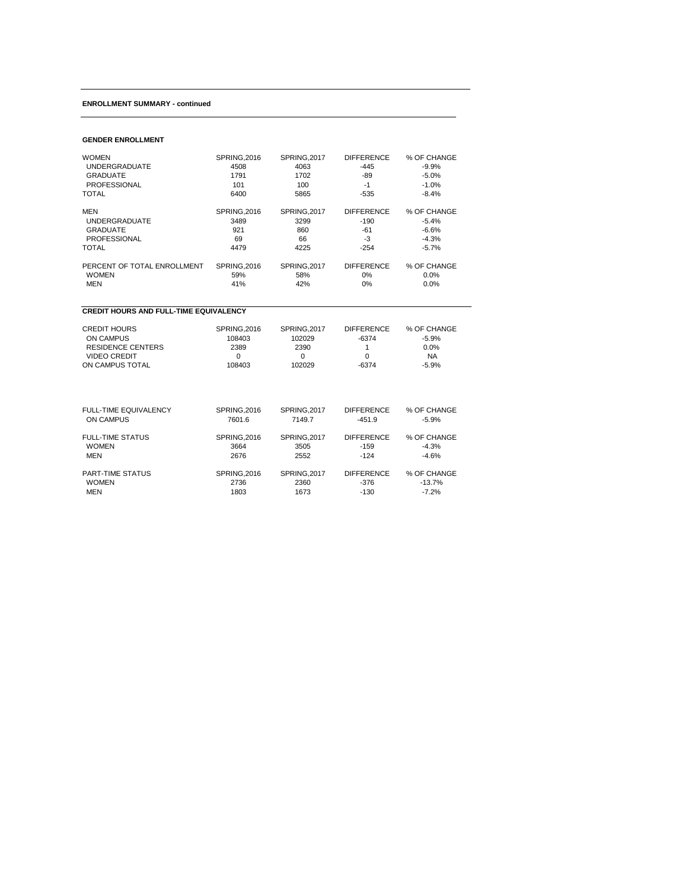#### **ENROLLMENT SUMMARY - continued**

#### **GENDER ENROLLMENT**

| <b>WOMEN</b>                | <b>SPRING, 2016</b> | <b>SPRING, 2017</b> | <b>DIFFERENCE</b> | % OF CHANGE |
|-----------------------------|---------------------|---------------------|-------------------|-------------|
| <b>UNDERGRADUATE</b>        | 4508                | 4063                | $-445$            | $-9.9%$     |
| <b>GRADUATE</b>             | 1791                | 1702                | -89               | $-5.0%$     |
| <b>PROFESSIONAL</b>         | 101                 | 100                 | -1                | $-1.0\%$    |
| <b>TOTAL</b>                | 6400                | 5865                | -535              | $-8.4%$     |
|                             |                     |                     |                   |             |
| <b>MEN</b>                  | <b>SPRING, 2016</b> | SPRING, 2017        | <b>DIFFERENCE</b> | % OF CHANGE |
| <b>UNDERGRADUATE</b>        | 3489                | 3299                | $-190$            | $-5.4%$     |
| <b>GRADUATE</b>             | 921                 | 860                 | -61               | $-6.6\%$    |
| <b>PROFESSIONAL</b>         | 69                  | 66                  | -3                | $-4.3%$     |
| <b>TOTAL</b>                | 4479                | 4225                | $-254$            | $-5.7\%$    |
|                             |                     |                     |                   |             |
| PERCENT OF TOTAL ENROLLMENT | <b>SPRING, 2016</b> | SPRING, 2017        | <b>DIFFERENCE</b> | % OF CHANGE |
| <b>WOMEN</b>                | 59%                 | 58%                 | $0\%$             | $0.0\%$     |
| <b>MEN</b>                  | 41%                 | 42%                 | 0%                | $0.0\%$     |
|                             |                     |                     |                   |             |

#### **CREDIT HOURS AND FULL-TIME EQUIVALENCY**

| <b>CREDIT HOURS</b> | SPRING, 2016 | SPRING.2017 | <b>DIFFERENCE</b> | % OF CHANGE |
|---------------------|--------------|-------------|-------------------|-------------|
| ON CAMPUS           | 108403       | 102029      | -6374             | -5.9%       |
| RESIDENCE CENTERS   | 2389         | 2390        |                   | $0.0\%$     |
| VIDEO CREDIT        |              |             |                   | ΝA          |
| ON CAMPUS TOTAL     | 108403       | 102029      | -6374             | $-5.9\%$    |

| FULL-TIME EQUIVALENCY   | <b>SPRING, 2016</b> | <b>SPRING, 2017</b> | <b>DIFFERENCE</b> | % OF CHANGE |
|-------------------------|---------------------|---------------------|-------------------|-------------|
| ON CAMPUS               | 7601.6              | 7149.7              | $-451.9$          | $-5.9\%$    |
| <b>FULL-TIME STATUS</b> | <b>SPRING, 2016</b> | <b>SPRING, 2017</b> | <b>DIFFERENCE</b> | % OF CHANGE |
| <b>WOMEN</b>            | 3664                | 3505                | $-159$            | $-4.3%$     |
| MEN                     | 2676                | 2552                | $-124$            | $-4.6%$     |
| <b>PART-TIME STATUS</b> | <b>SPRING, 2016</b> | SPRING, 2017        | <b>DIFFERENCE</b> | % OF CHANGE |
| <b>WOMEN</b>            | 2736                | 2360                | $-376$            | $-13.7%$    |
| <b>MEN</b>              | 1803                | 1673                | $-130$            | $-7.2\%$    |